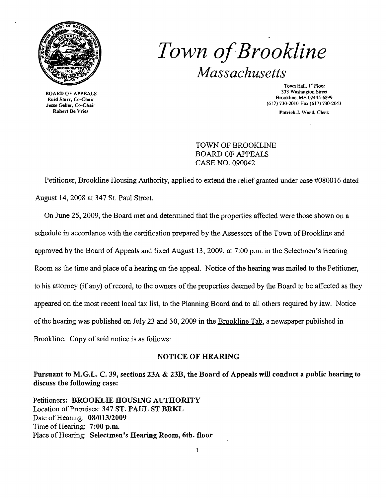

**BOARD OF APPEALS** Robert De Vries

# Town of Brookline *Massachusetts*

Town Hall,  $1^{\infty}$  Floor<br>333 Washington Street  $\sum_{k=1}^{N}$  Brookline, MA 02445-6899<br>
Enid Starr, Co-Chair<br>  $\sum_{k=1}^{N}$  Brookline, MA 02445-6899<br>  $\sum_{k=1}^{N}$  Brookline, MA 02445-6899 (617) 730-2010 Fax (617) 730-2043

Patrick J. Ward, Clerk

TOWN OF BROOKLINE BOARD OF APPEALS CASE NO. 090042

Petitioner, Brookline Housing Authority, applied to extend the relief granted under case #080016 dated August 14,2008 at 347 St. Paul Street.

On June 25, 2009, the Board met and determined that the properties affected were those shown on a schedule in accordance with the certification prepared by the Assessors of the Town of Brookline and approved by the Board of Appeals and fixed August 13,2009, at 7:00 p.m. in the Selectmen's Hearing Room as the time and place of a hearing on the appeal. Notice of the hearing was mailed to the Petitioner, to his attorney (if any) of record, to the owners of the properties deemed by the Board to be affected as they appeared on the most recent local tax list, to the Planning Board and to all others required by law. Notice of the hearing was published on July 23 and 30, 2009 in the Brookline Tab, a newspaper published in Brookline. Copy of said notice is as follows:

#### NOTICE OF HEARING

Pursuant to M.G.L. C. 39, sections 23A & 23B, the Board of Appeals will conduct a public hearing to discuss the following case:

Petitioners: BROOKLIE HOUSING AUTHORITY Location of Premises: 347 ST. PAUL ST BRKL Date of Hearing: 08/013/2009 Time of Hearing: 7:00 p.m. Place of Hearing: Selectmen's Hearing Room, 6th. floor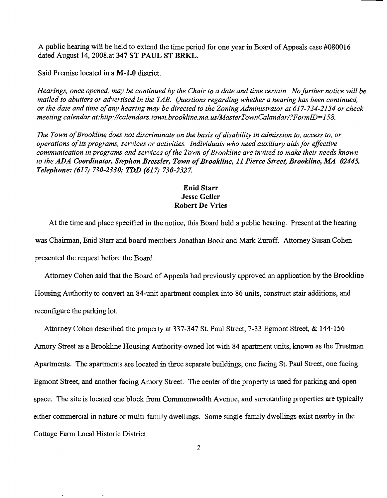A public hearing will be held to extend the time period for one year in Board of Appeals case #080016 dated August 14, 2008.at 347 ST PAUL ST BRKL.

Said Premise located in a M-l.O district.

*Hearings. once opened, may be continued by the Chair to a date and time certain. No further notice will be mailed to abutters or advertised in the TAB. Questions regarding whether a hearing has been continued. or the date and time ofany hearing may be directed to the Zoning Administrator at* 617-734-2134 *or check meeting calendar at:http://calendars.town.brookline.ma.us/MasterTownCalandar/?FormID=158.* 

The Town of Brookline does not discriminate on the basis of disability in admission to, access to, or *operations ofits programs, services or activities. Individuals who need auxiliary aids for effective communication in programs and services of the Town of Brookline are invited to make their needs known* to the ADA Coordinator, Stephen Bressler, Town of Brookline, 11 Pierce Street, Brookline, MA 02445. *Telephone:* (617) *730-2330; TDD* (617) *730-2327.* 

### Enid Starr Jesse Geller Robert De Vries

At the time and place specified in the notice, this Board held a public hearing. Present at the hearing was Chairman, Enid Starr and board members Jonathan Book and Mark Zuroff. Attorney Susan Cohen presented the request before the Board.

Attorney Cohen said that the Board of Appeals had previously approved an application by the Brookline Housing Authority to convert an 84-unit apartment complex into 86 units, construct stair additions, and reconfigure the parking lot.

Attorney Cohen described the property at 337-347 St. Paul Street, 7-33 Egmont Street, & 144-156 Amory Street as a Brookline Housing Authority-owned lot with 84 apartment units, known as the Trustman Apartments. The apartments are located in three separate buildings, one facing St. Paul Street, one facing Egmont Street, and another facing Amory Street. The center of the property is used for parking and open space. The site is located one block from Commonwealth Avenue, and surrounding properties are typically either commercial in nature or multi-family dwellings. Some single-family dwellings exist nearby in the Cottage Fann Local Historic District.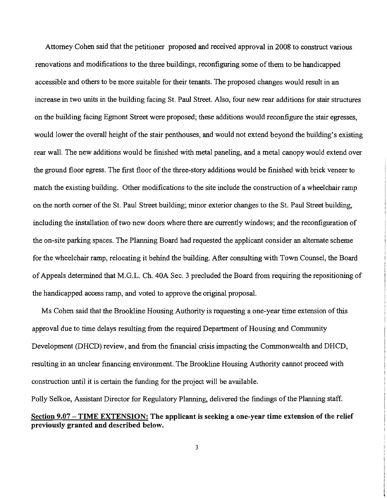Attorney Cohen said that the petitioner proposed and received approval in 2008 to construct various renovations and modifications to the three buildings, reconfiguring some of them to be handicapped accessible and others to be more suitable for their tenants. The proposed changes would result in an increase in two units in the building facing St. Paul Street. Also, four new rear additions for stair structures on the building facing Egmont Street were proposed; these additions would reconfigure the stair egresses, would lower the overall height of the stair penthouses, and would not extend beyond the building's existing rear wall. The new additions would be finished with metal paneling, and a metal canopy would extend over the ground floor egress. The first floor of the three-story additions would be finished with brick veneer to match the existing building. Other modifications to the site include the construction of a wheelchair ramp on the north corner of the St. Paul Street building; minor exterior changes to the St. Paul Street building, including the installation of two new doors where there are currently windows; and the reconfiguration of the on-site parking spaces. The Planning Board had requested the applicant consider an alternate scheme for the wheelchair ramp, relocating it behind the building. After consulting with Town Counsel, the Board ofAppeals detennined that M.G.L. Ch. 40A Sec. 3 precluded the Board from requiring the repositioning of the handicapped access ramp, and voted to approve the original proposal.

Ms Cohen said that the Brookline Housing Authority is requesting a one-year time extension of this approval due to time delays resulting from the required Department of Housing and Community Development (DHCD) review, and from the financial crisis impacting the Commonwealth and DHCD, resulting in an unclear financing environment. The Brookline Housing Authority cannot proceed with construction until it is certain the funding for the project will be available.

Polly Selkoe, Assistant Director for Regulatory Planning, delivered the findings of the Planning staff. Section 9.07 - TIME EXTENSION: The applicant is seeking a one-year time extension of the relief previously granted and described below.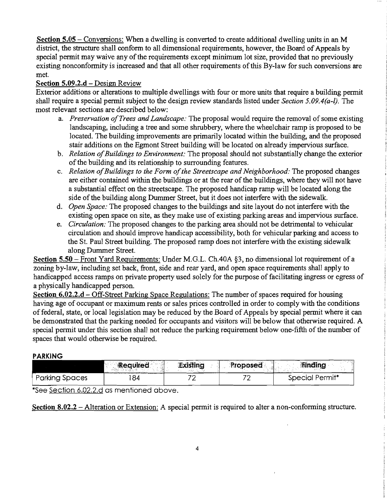Section 5.05 – Conversions: When a dwelling is converted to create additional dwelling units in an M district, the structure shall conform to all dimensional requirements, however, the Board of Appeals by special permit may waive any of the requirements except minimum lot size, provided that no previously existing nonconformity is increased and that all other requirements of this By-law for such conversions are met.

## Section 5.09.2.d - Design Review

Exterior additions or alterations to multiple dwellings with four or more units that require a building permit shall require a special permit subject to the design review standards listed under *Section 5.09.4(a-l).* The most relevant sections are described below:

- a. *Preservation of Trees and Landscape*: The proposal would require the removal of some existing landscaping, including a tree and some shrubbery, where the wheelchair ramp is proposed to be located. The building improvements are primarily located within the building, and the proposed stair additions on the Egmont Street building will be located on already impervious surface.
- b. *Relation ofBuildings to Environment:* The proposal should not substantially change the exterior of the building and its relationship to surrounding features.
- c. *Relation ofBuildings to the Form ofthe Streetscape and Neighborhood:* The proposed changes are either contained within the buildings or at the rear of the buildings, where they will not have a substantial effect on the streetscape. The proposed handicap ramp will be located along the side of the building along Dummer Street, but it does not interfere with the sidewalk.
- d. *Open Space:* The proposed changes to the buildings and site layout do not interfere with the existing open space on site, as they make use of existing parking areas and impervious surface.
- e. *Circulation:* The proposed changes to the parking area should not be detrimental to vehicular circulation and should improve handicap accessibility, both for vehicular parking and access to the St. Paul Street building. The proposed ramp does not interfere with the existing sidewalk along Dummer Street.

Section  $5.50$  - Front Yard Requirements: Under M.G.L. Ch.40A §3, no dimensional lot requirement of a zoning by-law, including set back, front, side and rear yard, and open space requirements shall apply to handicapped access ramps on private property used solely for the purpose of facilitating ingress or egress of a physically handicapped person.

Section 6.02.2.d – Off-Street Parking Space Regulations: The number of spaces required for housing having age of occupant or maximum rents or sales prices controlled in order to comply with the conditions of federal, state, or local legislation may be reduced by the Board of Appeals by special permit where it can be demonstrated that the parking needed for occupants and visitors will be below that otherwise required. A special permit under this section shall not reduce the parking requirement below one-fifth of the number of spaces that would otherwise be required.

## **PARKING**

|                       | Required<br>. | Existing | Proposed | <b>Finding</b>  |
|-----------------------|---------------|----------|----------|-----------------|
| <b>Parking Spaces</b> | 84            |          |          | Special Permit* |

\*See Section 6.02.2.d as mentioned above.

Section 8.02.2 – Alteration or Extension: A special permit is required to alter a non-conforming structure.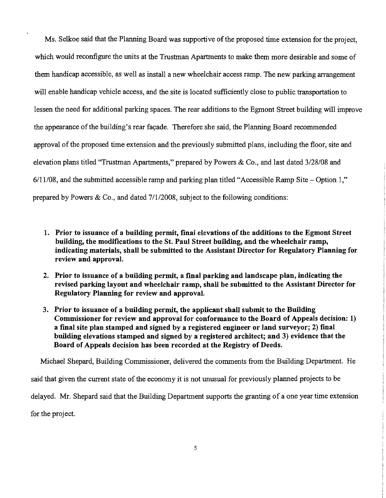Ms. Selkoe said that the Planning Board was supportive of the proposed time extension for the project, which would reconfigure the units at the Trustman Apartments to make them more desirable and some of them handicap accessible, as well as install a new wheelchair access ramp. The new parking arrangement will enable handicap vehicle access, and the site is located sufficiently close to public transportation to lessen the need for additional parking spaces. The rear additions to the Egmont Street building will improve the appearance of the building's rear façade. Therefore she said, the Planning Board recommended approval of the proposed time extension and the previously submitted plans, including the floor, site and elevation plans titled "Trustman Apartments," prepared by Powers & Co., and last dated 3/28/08 and 6/11/08, and the submitted accessible ramp and parking plan titled "Accessible Ramp Site - Option 1," prepared by Powers & Co., and dated 7/1/2008, subject to the following conditions:

- 1. Prior to issuance of a building permit, final elevations of the additions to the Egmont Street building, the modifications to the St. Paul Street building, and the wheelchair ramp, indicating materials, shall be submitted to the Assistant Director for Regulatory Planning for review and approval.
- 2. Prior to issuance of a building permit, a final parking and landscape plan, indicating the revised parking layout and wheelchair ramp, shall be submitted to the Assistant Director for Regulatory Planning for review and approval.
- 3. Prior to issuance of a building permit, the applicant shall submit to the Building Commissioner for review and approval for conformance to the Board of Appeals decision: 1) a final site plan stamped and signed by a registered engineer or land surveyor; 2) final building elevations stamped and signed by a registered architect; and 3) evidence that the Board of Appeals decision has been recorded at the Registry of Deeds.

Michael Shepard, Building Commissioner, delivered the comments from the Building Department. He said that given the current state of the economy it is not unusual for previously planned projects to be delayed. Mr. Shepard said that the Building Department supports the granting of a one year time extension for the project.